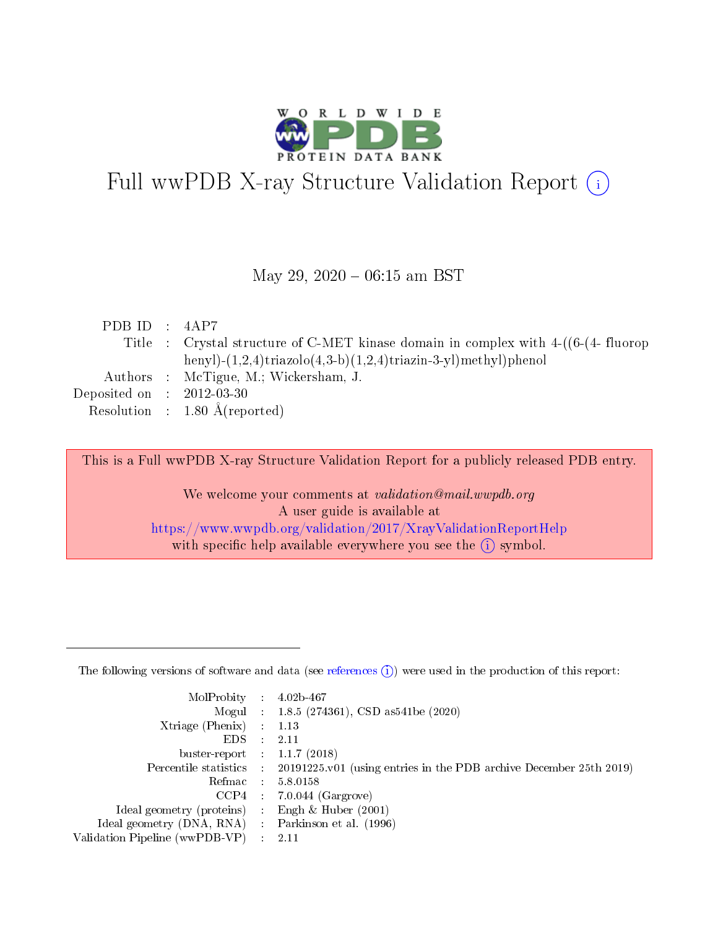

# Full wwPDB X-ray Structure Validation Report (i)

#### May 29,  $2020 - 06:15$  am BST

| PDB ID : $4AP7$             |                                                                                              |
|-----------------------------|----------------------------------------------------------------------------------------------|
|                             | Title : Crystal structure of C-MET kinase domain in complex with $4-(6-(4 - \text{fluorop})$ |
|                             | henyl)- $(1,2,4)$ triazolo $(4,3-b)(1,2,4)$ triazin-3-yl)methyl)phenol                       |
|                             | Authors : McTigue, M.; Wickersham, J.                                                        |
| Deposited on : $2012-03-30$ |                                                                                              |
|                             | Resolution : $1.80 \text{ Å}$ (reported)                                                     |

This is a Full wwPDB X-ray Structure Validation Report for a publicly released PDB entry.

We welcome your comments at validation@mail.wwpdb.org A user guide is available at <https://www.wwpdb.org/validation/2017/XrayValidationReportHelp> with specific help available everywhere you see the  $(i)$  symbol.

The following versions of software and data (see [references](https://www.wwpdb.org/validation/2017/XrayValidationReportHelp#references)  $(1)$ ) were used in the production of this report:

| MolProbity                     | $\mathcal{L}_{\rm{max}}$ | $4.02b - 467$                                                                |
|--------------------------------|--------------------------|------------------------------------------------------------------------------|
|                                |                          | Mogul : $1.8.5$ (274361), CSD as 541be (2020)                                |
| $X$ triage (Phenix) :          |                          | 1.13                                                                         |
| EDS.                           |                          | 2.11                                                                         |
| buster-report : $1.1.7$ (2018) |                          |                                                                              |
| Percentile statistics :        |                          | $20191225 \text{ v}01$ (using entries in the PDB archive December 25th 2019) |
| Refmac                         |                          | 5.8.0158                                                                     |
| $CCP4$ :                       |                          | $7.0.044$ (Gargrove)                                                         |
| Ideal geometry (proteins) :    |                          | Engh $\&$ Huber (2001)                                                       |
| Ideal geometry (DNA, RNA) :    |                          | Parkinson et al. (1996)                                                      |
| Validation Pipeline (wwPDB-VP) | $\mathcal{L}$            | -2.11                                                                        |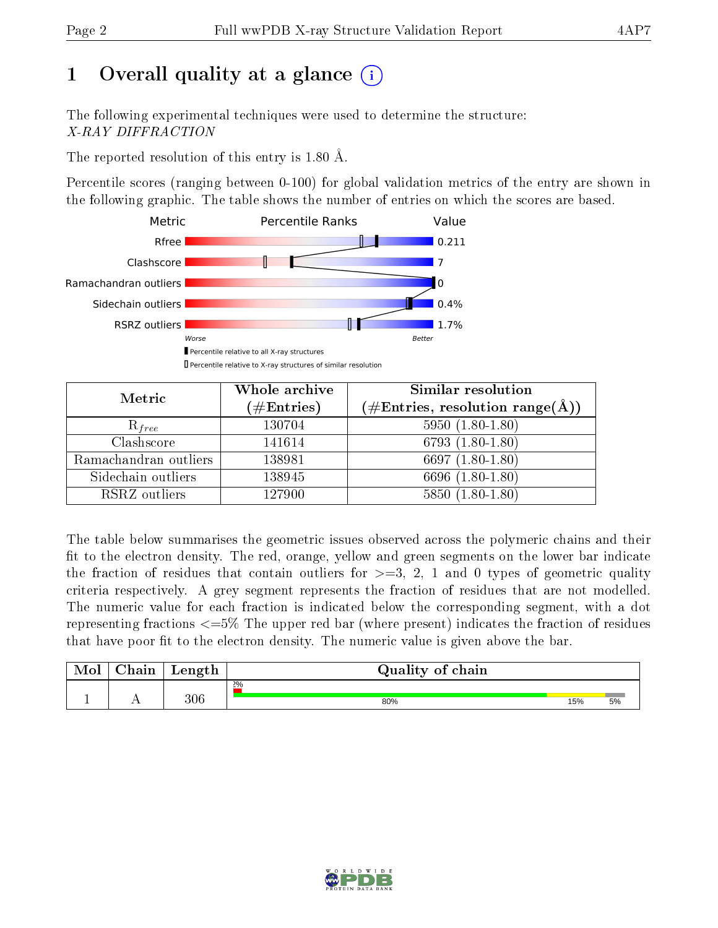# 1 [O](https://www.wwpdb.org/validation/2017/XrayValidationReportHelp#overall_quality)verall quality at a glance  $(i)$

The following experimental techniques were used to determine the structure: X-RAY DIFFRACTION

The reported resolution of this entry is 1.80 Å.

Percentile scores (ranging between 0-100) for global validation metrics of the entry are shown in the following graphic. The table shows the number of entries on which the scores are based.



| Metric                | Whole archive<br>$(\#\text{Entries})$ | Similar resolution<br>(#Entries, resolution range(Å)) |  |  |
|-----------------------|---------------------------------------|-------------------------------------------------------|--|--|
| $R_{free}$            | 130704                                | $5950(1.80-1.80)$                                     |  |  |
| Clashscore            | 141614                                | 6793 $(1.80-1.80)$                                    |  |  |
| Ramachandran outliers | 138981                                | 6697 $(1.80-1.80)$                                    |  |  |
| Sidechain outliers    | 138945                                | 6696 (1.80-1.80)                                      |  |  |
| RSRZ outliers         | 127900                                | $5850(1.80-1.80)$                                     |  |  |

The table below summarises the geometric issues observed across the polymeric chains and their fit to the electron density. The red, orange, yellow and green segments on the lower bar indicate the fraction of residues that contain outliers for  $>=3, 2, 1$  and 0 types of geometric quality criteria respectively. A grey segment represents the fraction of residues that are not modelled. The numeric value for each fraction is indicated below the corresponding segment, with a dot representing fractions  $\epsilon=5\%$  The upper red bar (where present) indicates the fraction of residues that have poor fit to the electron density. The numeric value is given above the bar.

| Mol | $\cap$ hain | Length | Quality of chain |     |    |
|-----|-------------|--------|------------------|-----|----|
|     |             |        | $2\%$            |     |    |
|     | . .         | 306    | 80%              | 15% | 5% |

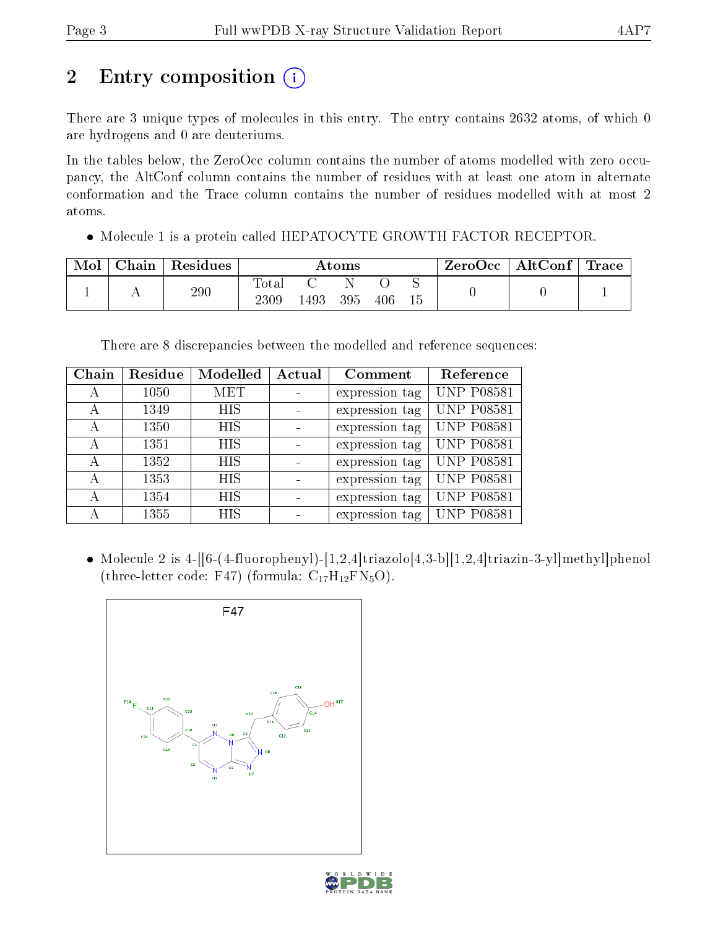# 2 Entry composition (i)

There are 3 unique types of molecules in this entry. The entry contains 2632 atoms, of which 0 are hydrogens and 0 are deuteriums.

In the tables below, the ZeroOcc column contains the number of atoms modelled with zero occupancy, the AltConf column contains the number of residues with at least one atom in alternate conformation and the Trace column contains the number of residues modelled with at most 2 atoms.

Molecule 1 is a protein called HEPATOCYTE GROWTH FACTOR RECEPTOR.

| Mol | ${\rm Chain}$ | Residues | Atoms         |     |     |     |  | ZeroOcc | $\mid$ AltConf $\mid$ | $\operatorname{Trace}$ |
|-----|---------------|----------|---------------|-----|-----|-----|--|---------|-----------------------|------------------------|
|     |               | 290      | Totar<br>2309 | 493 | 395 | 406 |  |         |                       |                        |

There are 8 discrepancies between the modelled and reference sequences:

| Chain | Residue | Modelled   | Actual | Comment        | Reference         |
|-------|---------|------------|--------|----------------|-------------------|
| А     | 1050    | MET        |        | expression tag | <b>UNP P08581</b> |
| А     | 1349    | <b>HIS</b> |        | expression tag | <b>UNP P08581</b> |
| А     | 1350    | <b>HIS</b> |        | expression tag | <b>UNP P08581</b> |
| А     | 1351    | <b>HIS</b> |        | expression tag | <b>UNP P08581</b> |
| А     | 1352    | <b>HIS</b> |        | expression tag | <b>UNP P08581</b> |
| А     | 1353    | <b>HIS</b> |        | expression tag | <b>UNP P08581</b> |
| А     | 1354    | <b>HIS</b> |        | expression tag | <b>UNP P08581</b> |
| А     | 1355    | <b>HIS</b> |        | expression tag | <b>UNP P08581</b> |

• Molecule 2 is 4-[[6-(4-fluorophenyl)-[1,2,4]triazolo[4,3-b][1,2,4]triazin-3-yl]methyl]phenol (three-letter code: F47) (formula:  $C_{17}H_{12}FN_5O$ ).



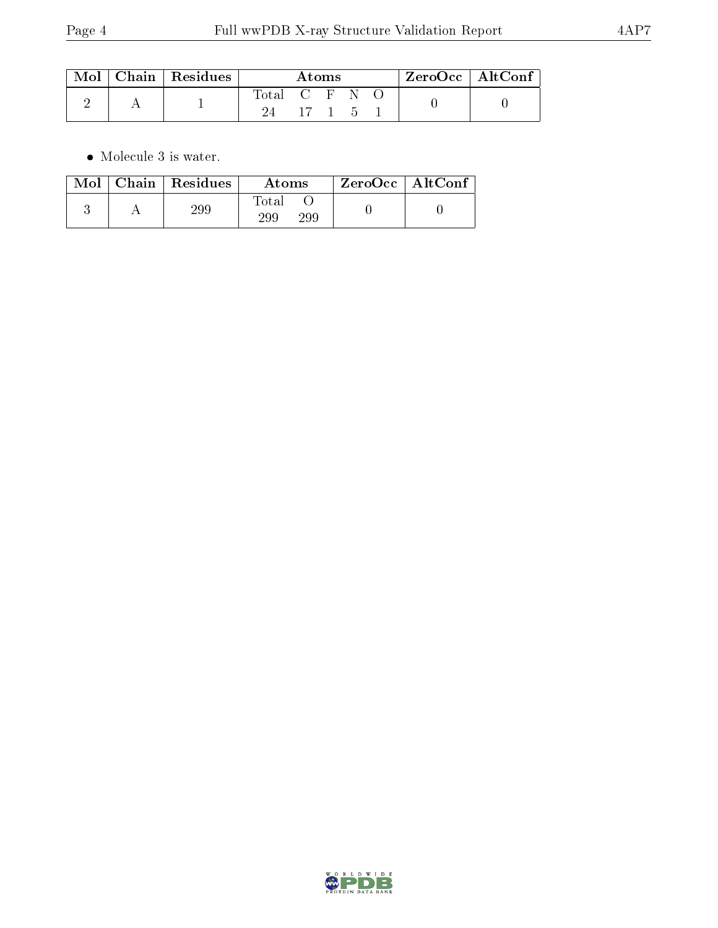|  | $\parallel$ Mol $\parallel$ Chain $\parallel$ Residues $\perp$ | Atoms         |        |  |  | $ZeroOcc$   AltConf |  |  |
|--|----------------------------------------------------------------|---------------|--------|--|--|---------------------|--|--|
|  |                                                                | Total C F N O |        |  |  |                     |  |  |
|  |                                                                |               | 17 1 5 |  |  |                     |  |  |

 $\bullet\,$  Molecule 3 is water.

| Mol | Chain   Residues | Atoms               | $ZeroOcc \mid AltConf$ |  |
|-----|------------------|---------------------|------------------------|--|
|     | 299              | Total<br>299<br>29S |                        |  |

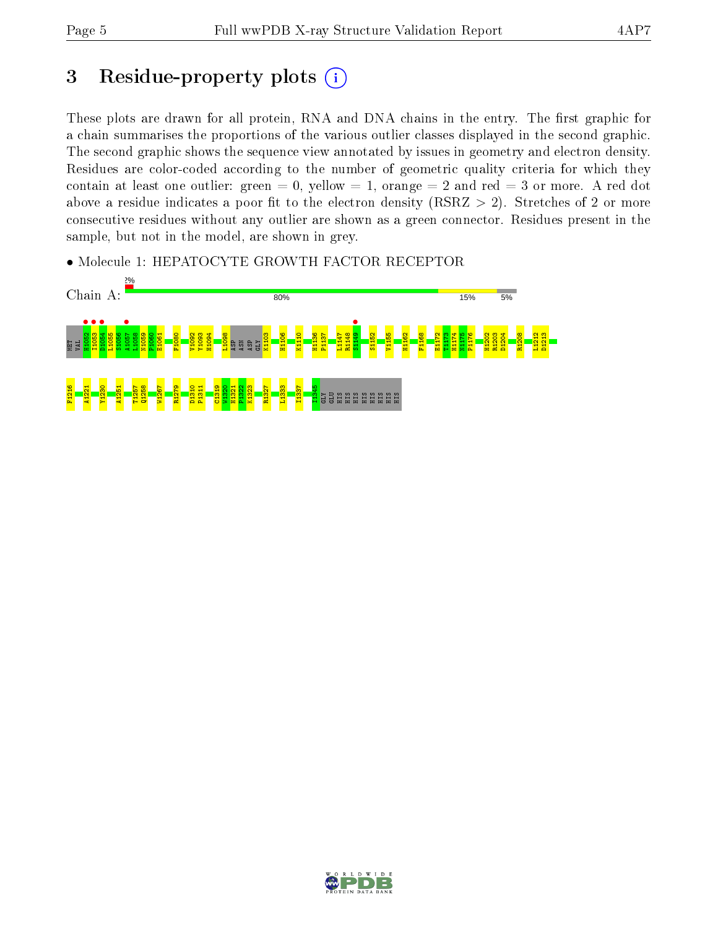# 3 Residue-property plots  $(i)$

These plots are drawn for all protein, RNA and DNA chains in the entry. The first graphic for a chain summarises the proportions of the various outlier classes displayed in the second graphic. The second graphic shows the sequence view annotated by issues in geometry and electron density. Residues are color-coded according to the number of geometric quality criteria for which they contain at least one outlier: green  $= 0$ , yellow  $= 1$ , orange  $= 2$  and red  $= 3$  or more. A red dot above a residue indicates a poor fit to the electron density (RSRZ  $> 2$ ). Stretches of 2 or more consecutive residues without any outlier are shown as a green connector. Residues present in the sample, but not in the model, are shown in grey.

• Molecule 1: HEPATOCYTE GROWTH FACTOR RECEPTOR



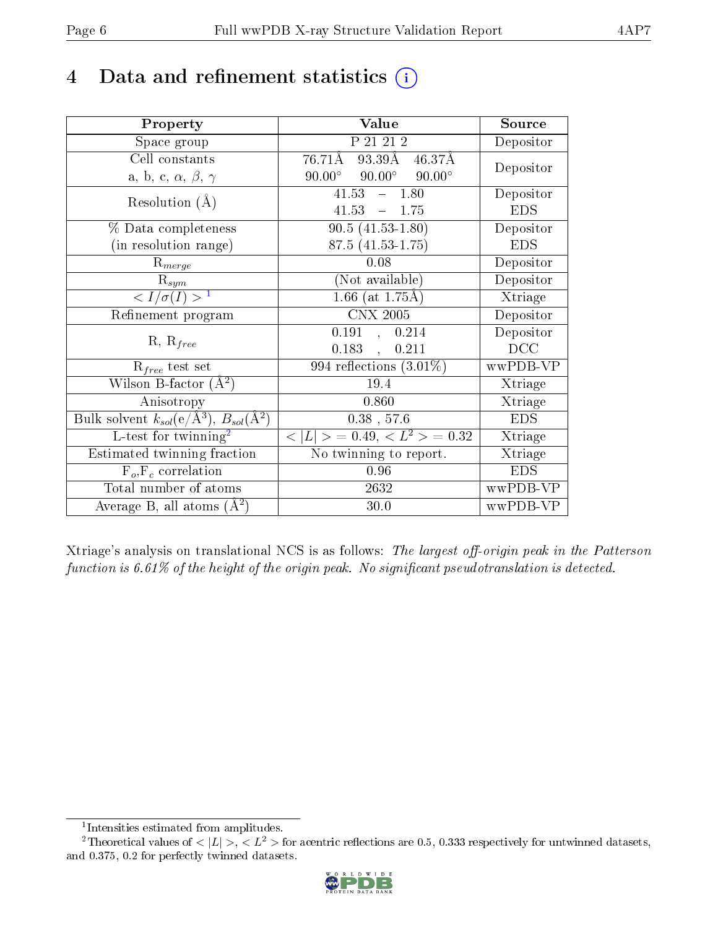## 4 Data and refinement statistics  $(i)$

| Property                                                                | Value                                               | Source     |
|-------------------------------------------------------------------------|-----------------------------------------------------|------------|
| Space group                                                             | P 21 21 2                                           | Depositor  |
| Cell constants                                                          | $76.71\text{\AA}$<br>93.39Å<br>46.37Å               | Depositor  |
| a, b, c, $\alpha$ , $\beta$ , $\gamma$                                  | $90.00^{\circ}$<br>$90.00^\circ$<br>$90.00^{\circ}$ |            |
| Resolution $(A)$                                                        | 41.53<br>$-1.80$                                    | Depositor  |
|                                                                         | 41.53<br>$-1.75$                                    | <b>EDS</b> |
| % Data completeness                                                     | $90.5(41.53-1.80)$                                  | Depositor  |
| (in resolution range)                                                   | $87.5(41.53 - 1.75)$                                | <b>EDS</b> |
| $R_{merge}$                                                             | 0.08                                                | Depositor  |
| $\mathrm{R}_{sym}$                                                      | (Not available)                                     | Depositor  |
| $\langle I/\sigma(I) \rangle^{-1}$                                      | 1.66 (at $1.75\text{\AA})$                          | Xtriage    |
| Refinement program                                                      | $\overline{\text{CNX}}$ 2005                        | Depositor  |
| $R, R_{free}$                                                           | 0.191, 0.214                                        | Depositor  |
|                                                                         | 0.183,<br>0.211                                     | DCC        |
| $\mathcal{R}_{free}$ test set                                           | $\overline{994}$ reflections $(3.01\%)$             | wwPDB-VP   |
| Wilson B-factor $(A^2)$                                                 | 19.4                                                | Xtriage    |
| Anisotropy                                                              | 0.860                                               | Xtriage    |
| Bulk solvent $k_{sol}(\mathrm{e}/\mathrm{A}^3),\,B_{sol}(\mathrm{A}^2)$ | $0.38$ , 57.6                                       | <b>EDS</b> |
| L-test for twinning <sup>2</sup>                                        | $< L >$ = 0.49, $< L^2 >$ = 0.32                    | Xtriage    |
| Estimated twinning fraction                                             | No twinning to report.                              | Xtriage    |
| $F_o, F_c$ correlation                                                  | $0.96\,$                                            | <b>EDS</b> |
| Total number of atoms                                                   | 2632                                                | wwPDB-VP   |
| Average B, all atoms $(A^2)$                                            | 30.0                                                | wwPDB-VP   |

Xtriage's analysis on translational NCS is as follows: The largest off-origin peak in the Patterson function is  $6.61\%$  of the height of the origin peak. No significant pseudotranslation is detected.

<sup>&</sup>lt;sup>2</sup>Theoretical values of  $\langle |L| \rangle$ ,  $\langle L^2 \rangle$  for acentric reflections are 0.5, 0.333 respectively for untwinned datasets, and 0.375, 0.2 for perfectly twinned datasets.



<span id="page-5-1"></span><span id="page-5-0"></span><sup>1</sup> Intensities estimated from amplitudes.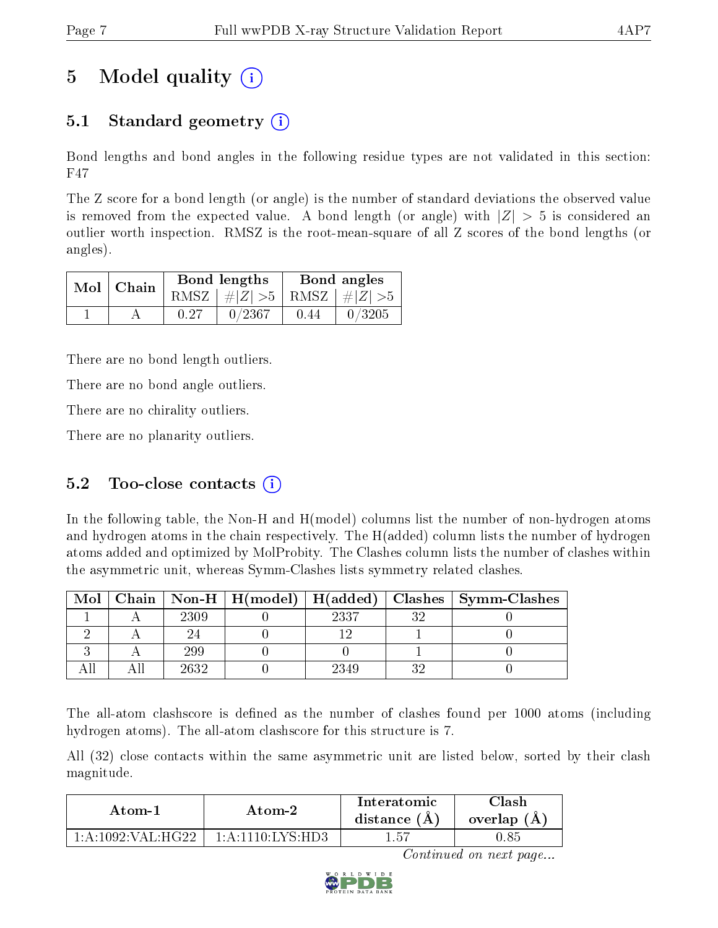# 5 Model quality  $(i)$

### 5.1 Standard geometry  $\overline{()}$

Bond lengths and bond angles in the following residue types are not validated in this section: F47

The Z score for a bond length (or angle) is the number of standard deviations the observed value is removed from the expected value. A bond length (or angle) with  $|Z| > 5$  is considered an outlier worth inspection. RMSZ is the root-mean-square of all Z scores of the bond lengths (or angles).

|  | $Mol$   Chain |      | Bond lengths                    | Bond angles |        |  |
|--|---------------|------|---------------------------------|-------------|--------|--|
|  |               |      | RMSZ $ #Z  > 5$ RMSZ $ #Z  > 5$ |             |        |  |
|  |               | 0.27 | 0/2367                          | 0.44        | 0/3205 |  |

There are no bond length outliers.

There are no bond angle outliers.

There are no chirality outliers.

There are no planarity outliers.

#### 5.2 Too-close contacts  $(i)$

In the following table, the Non-H and H(model) columns list the number of non-hydrogen atoms and hydrogen atoms in the chain respectively. The H(added) column lists the number of hydrogen atoms added and optimized by MolProbity. The Clashes column lists the number of clashes within the asymmetric unit, whereas Symm-Clashes lists symmetry related clashes.

| Mol |      |      |    | Chain   Non-H   H(model)   H(added)   Clashes   Symm-Clashes |
|-----|------|------|----|--------------------------------------------------------------|
|     | 2309 | 2337 | າເ |                                                              |
|     |      |      |    |                                                              |
|     | 299  |      |    |                                                              |
|     | 2632 | 2349 |    |                                                              |

The all-atom clashscore is defined as the number of clashes found per 1000 atoms (including hydrogen atoms). The all-atom clashscore for this structure is 7.

All (32) close contacts within the same asymmetric unit are listed below, sorted by their clash magnitude.

| Atom-1                  | Atom-2                                    | Interatomic<br>distance $(A)$ | Clash<br>overlap $(A)$ |  |
|-------------------------|-------------------------------------------|-------------------------------|------------------------|--|
| $-1:$ A:1092: VAL: HG22 | . 10·LVS·HD3<br>$1 \cdot \Delta \cdot 11$ | l.57                          | 1.85                   |  |

Continued on next page...

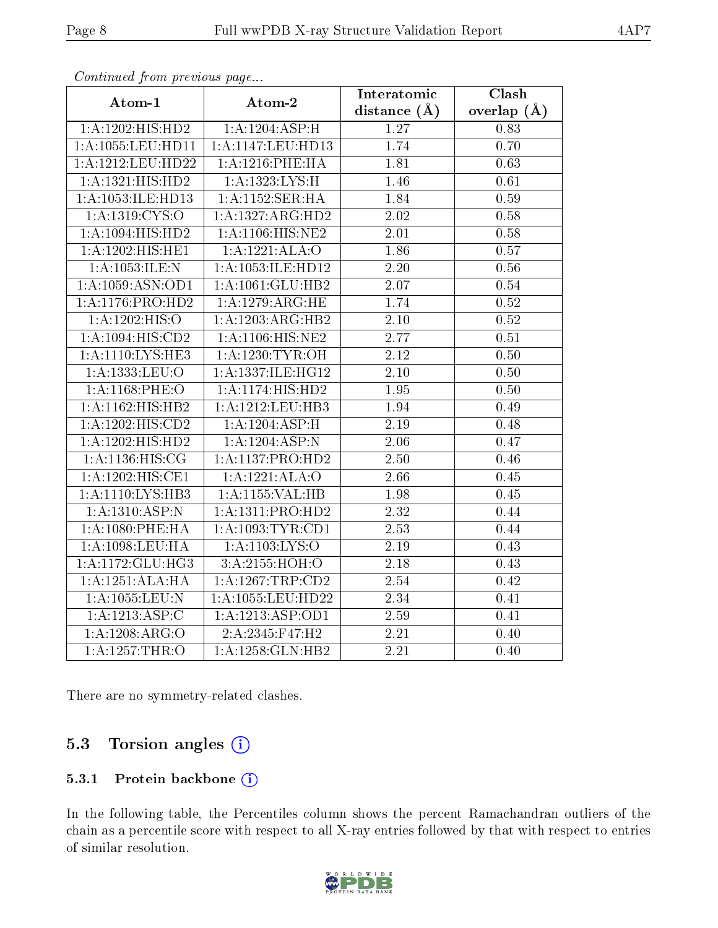|                               |                              | Interatomic       | Clash           |
|-------------------------------|------------------------------|-------------------|-----------------|
| Atom-1                        | Atom-2                       | distance $(A)$    | overlap $(\AA)$ |
| $1:\!A:\!1202:\!HIS:\!HD2$    | $1: A:1204:A\overline{SP:H}$ | 1.27              | 0.83            |
| 1:A:1055:LEU:HD11             | 1: A: 1147: LEU: HD13        | 1.74              | 0.70            |
| 1:A:1212:LEU:HD22             | 1: A: 1216: PHE: HA          | 1.81              | 0.63            |
| 1:A:1321:HIS:HD2              | 1: A: 1323: LYS:H            | 1.46              | 0.61            |
| 1:A:1053:ILE:HD13             | 1: A:1152: SER: HA           | 1.84              | $0.59\,$        |
| 1: A: 1319: CYS:O             | 1:A:1327:ARG:HD2             | 2.02              | $0.58\,$        |
| $1:A:\overline{1094:HIS:HD2}$ | 1: A:1106:HIS:NE2            | 2.01              | $0.58\,$        |
| 1:A:1202:HIS:HE1              | 1:A:1221:ALA:O               | 1.86              | 0.57            |
| 1: A: 1053: ILE:N             | 1:A:1053:ILE:HD12            | 2.20              | $0.56\,$        |
| 1: A: 1059: ASN: OD1          | 1:A:1061:GLU:HB2             | 2.07              | $0.54\,$        |
| 1:A:1176:PRO:HD2              | 1: A: 1279: ARG: HE          | 1.74              | $0.52\,$        |
| 1:A:1202:HIS:O                | 1:A:1203:ARG:HB2             | 2.10              | $0.52\,$        |
| 1: A: 1094: HIS: CD2          | 1: A:1106: HIS: NE2          | 2.77              | 0.51            |
| 1: A:1110: LYS: HE3           | 1: A: 1230: TYR: OH          | $\overline{2.12}$ | $0.50\,$        |
| 1:A:1333:LEU:O                | 1:A:1337:ILE:HG12            | $2.10\,$          | $0.50\,$        |
| 1:A:1168:PHE:O                | 1: A:1174: HIS: HD2          | 1.95              | 0.50            |
| 1:A:1162:HIS:HB2              | 1:A:1212:LEU:HB3             | 1.94              | $0.49\,$        |
| 1:A:1202:HIS:CD2              | 1:A:1204:ASP:H               | 2.19              | 0.48            |
| 1:A:1202:HIS:HD2              | 1:A:1204:ASP:N               | 2.06              | 0.47            |
| 1: A:1136:HIS:CG              | 1:A:1137:PRO:HD2             | 2.50              | 0.46            |
| 1: A: 1202: HIS: CE1          | 1:A:1221:ALA:O               | 2.66              | $0.45\,$        |
| 1:A:1110:LYS:HB3              | 1:A:1155:VAL:HB              | 1.98              | 0.45            |
| 1: A: 1310: ASP: N            | 1:A:1311:PRO:HD2             | 2.32              | 0.44            |
| 1: A:1080: PHE: HA            | 1:A:1093:TYR:CD1             | $\overline{2.53}$ | 0.44            |
| 1:A:1098:LEU:HA               | 1: A:1103: LYS:O             | $2.19\,$          | 0.43            |
| 1:A:1172:GLU:HG3              | 3:A:2155:HOH:O               | 2.18              | 0.43            |
| 1:A:1251:ALA:HA               | 1:A:1267:TRP:CD2             | 2.54              | 0.42            |
| 1:A:1055:LEU:N                | 1:A:1055:LEU:HD22            | $\overline{2.34}$ | 0.41            |
| 1:A:1213:ASP:C                | 1:A:1213:ASP:OD1             | 2.59              | 0.41            |
| 1: A: 1208: ARG: O            | 2:A:2345:F47:H2              | $2.21\,$          | 0.40            |
| 1:A:1257:THR:O                | 1:A:1258:GLN:HB2             | $\overline{2.21}$ | 0.40            |

Continued from previous page...

There are no symmetry-related clashes.

### 5.3 Torsion angles (i)

#### 5.3.1 Protein backbone (i)

In the following table, the Percentiles column shows the percent Ramachandran outliers of the chain as a percentile score with respect to all X-ray entries followed by that with respect to entries of similar resolution.

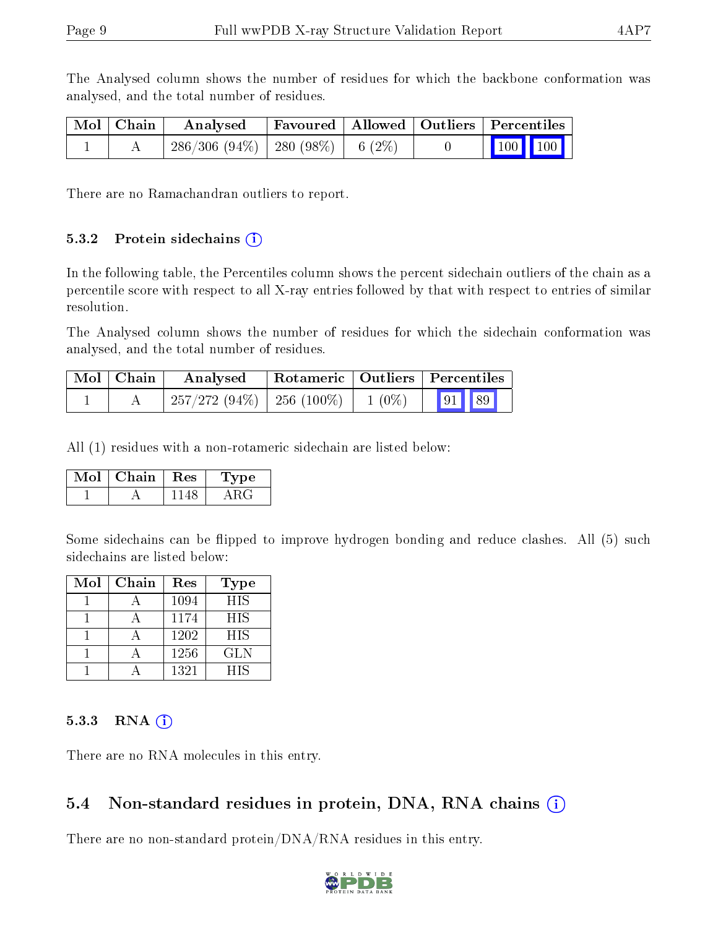The Analysed column shows the number of residues for which the backbone conformation was analysed, and the total number of residues.

| Mol   Chain | Analysed                                |  | Favoured   Allowed   Outliers   Percentiles |  |
|-------------|-----------------------------------------|--|---------------------------------------------|--|
|             | $286/306$ (94\%)   280 (98\%)   6 (2\%) |  | $\vert$ 100 100 $\vert$                     |  |

There are no Ramachandran outliers to report.

#### 5.3.2 Protein sidechains  $(i)$

In the following table, the Percentiles column shows the percent sidechain outliers of the chain as a percentile score with respect to all X-ray entries followed by that with respect to entries of similar resolution.

The Analysed column shows the number of residues for which the sidechain conformation was analysed, and the total number of residues.

| Mol   Chain | Analysed                                 |  | Rotameric   Outliers   Percentiles |  |
|-------------|------------------------------------------|--|------------------------------------|--|
|             | $257/272$ (94\%)   256 (100\%)   1 (0\%) |  | 91 89                              |  |

All (1) residues with a non-rotameric sidechain are listed below:

| Mol | Chain | $\operatorname{Res}$ | Type |
|-----|-------|----------------------|------|
|     |       |                      |      |

Some sidechains can be flipped to improve hydrogen bonding and reduce clashes. All (5) such sidechains are listed below:

| Mol | Chain | Res  | Type       |
|-----|-------|------|------------|
|     |       | 1094 | <b>HIS</b> |
|     |       | 1174 | <b>HIS</b> |
|     |       | 1202 | <b>HIS</b> |
|     |       | 1256 | GLN        |
|     |       | 1321 | <b>HIS</b> |

#### 5.3.3 RNA [O](https://www.wwpdb.org/validation/2017/XrayValidationReportHelp#rna)i

There are no RNA molecules in this entry.

#### 5.4 Non-standard residues in protein, DNA, RNA chains (i)

There are no non-standard protein/DNA/RNA residues in this entry.

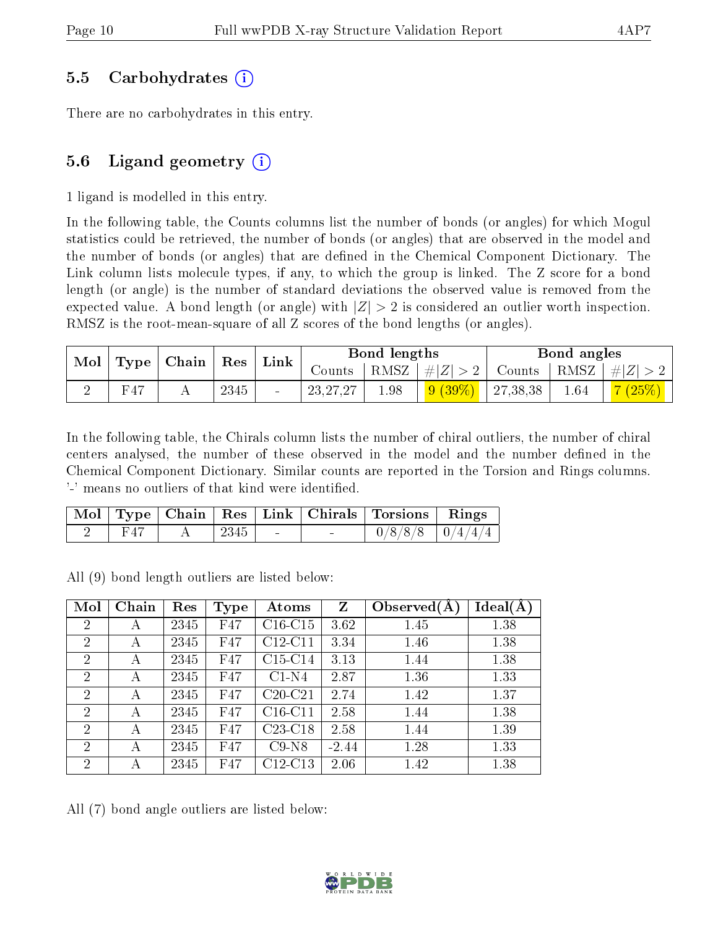#### 5.5 Carbohydrates (i)

There are no carbohydrates in this entry.

### 5.6 Ligand geometry  $(i)$

1 ligand is modelled in this entry.

In the following table, the Counts columns list the number of bonds (or angles) for which Mogul statistics could be retrieved, the number of bonds (or angles) that are observed in the model and the number of bonds (or angles) that are defined in the Chemical Component Dictionary. The Link column lists molecule types, if any, to which the group is linked. The Z score for a bond length (or angle) is the number of standard deviations the observed value is removed from the expected value. A bond length (or angle) with  $|Z| > 2$  is considered an outlier worth inspection. RMSZ is the root-mean-square of all Z scores of the bond lengths (or angles).

|  | $\bf{Mol}$<br>$\vert$ Type $\vert$ Chain $\vert$ Res $\vert$<br>Link |        |      | Bond lengths       |      |           | Bond angles                                            |      |           |
|--|----------------------------------------------------------------------|--------|------|--------------------|------|-----------|--------------------------------------------------------|------|-----------|
|  |                                                                      | Counts |      | RMSZ   $\# Z  > 2$ |      |           | $\vert$ Counts $\vert$ RMSZ $\vert \#  Z  > 2$ $\vert$ |      |           |
|  | F47                                                                  |        | 2345 | 23, 27, 27         | 1.98 | $9(39\%)$ | 27,38,38                                               | 1.64 | $-7(25%)$ |

In the following table, the Chirals column lists the number of chiral outliers, the number of chiral centers analysed, the number of these observed in the model and the number defined in the Chemical Component Dictionary. Similar counts are reported in the Torsion and Rings columns. '-' means no outliers of that kind were identified.

|  |      |        |        | Mol   Type   Chain   Res   Link   Chirals   Torsions   Rings |  |
|--|------|--------|--------|--------------------------------------------------------------|--|
|  | 2345 | $\sim$ | $\sim$ | $0/8/8/8$ $0/4/4/4$                                          |  |

All (9) bond length outliers are listed below:

| Mol            | Chain | Res  | <b>Type</b> | Atoms     | $\mathbf{Z}$ | Observed $(A)$ | Ideal(A) |
|----------------|-------|------|-------------|-----------|--------------|----------------|----------|
| $\overline{2}$ | А     | 2345 | F47         | $C16-C15$ | 3.62         | 1.45           | 1.38     |
| $\overline{2}$ | А     | 2345 | F47         | $C12-C11$ | 3.34         | 1.46           | 1.38     |
| $\overline{2}$ | А     | 2345 | F47         | $C15-C14$ | 3.13         | 1.44           | 1.38     |
| $\overline{2}$ | А     | 2345 | F47         | $C1-N4$   | 2.87         | 1.36           | 1.33     |
| $\overline{2}$ | А     | 2345 | F47         | $C20-C21$ | 2.74         | 1.42           | 1.37     |
| $\overline{2}$ | А     | 2345 | F47         | $C16-C11$ | 2.58         | 1.44           | 1.38     |
| $\overline{2}$ | А     | 2345 | F47         | $C23-C18$ | 2.58         | 1.44           | 1.39     |
| $\overline{2}$ | А     | 2345 | F47         | $C9-N8$   | $-2.44$      | 1.28           | 1.33     |
| $\overline{2}$ | А     | 2345 | F47         | $C12-C13$ | 2.06         | 1.42           | 1.38     |

All (7) bond angle outliers are listed below:

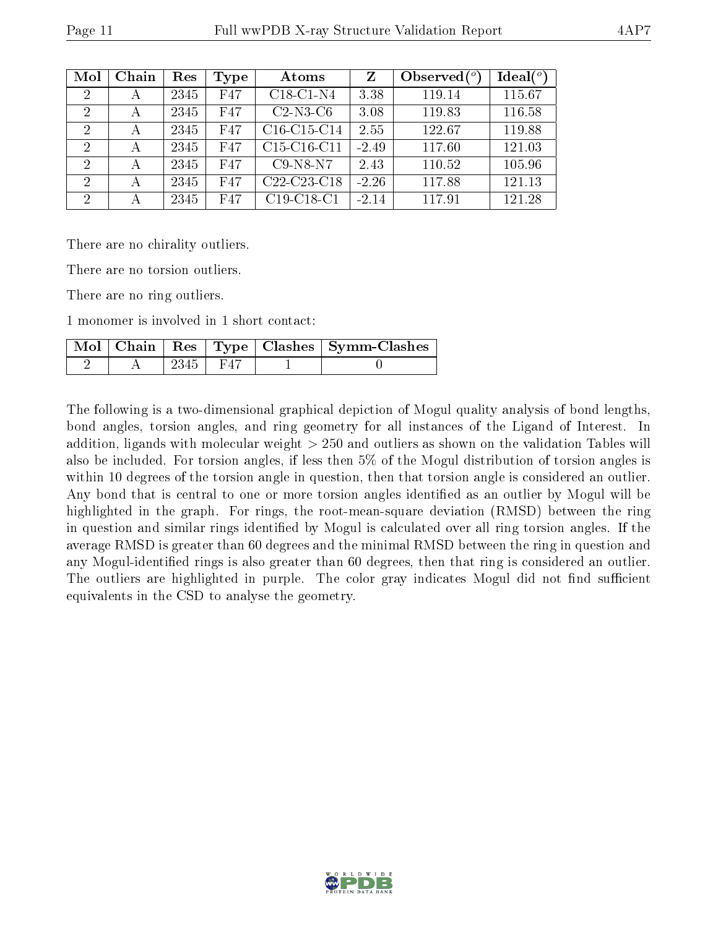|--|

| Mol            | Chain | Res  | Type | Atoms                                             | Z       | Observed $\binom{o}{c}$ | $Ideal(^o)$ |
|----------------|-------|------|------|---------------------------------------------------|---------|-------------------------|-------------|
| $\overline{2}$ | А     | 2345 | F47  | $C18-C1-N4$                                       | 3.38    | 119.14                  | 115.67      |
| 2              | А     | 2345 | F47  | $C2-N3-C6$                                        | 3.08    | 119.83                  | 116.58      |
| 2              | А     | 2345 | F47  | C <sub>16</sub> -C <sub>15</sub> -C <sub>14</sub> | 2.55    | 122.67                  | 119.88      |
| 2              | А     | 2345 | F47  | C <sub>15</sub> -C <sub>16</sub> -C <sub>11</sub> | $-2.49$ | 117.60                  | 121.03      |
| 2              | А     | 2345 | F47  | $C9-N8-N7$                                        | 2.43    | 110.52                  | 105.96      |
| 2              | А     | 2345 | F47  | C <sub>22</sub> -C <sub>23</sub> -C <sub>18</sub> | $-2.26$ | 117.88                  | 121.13      |
| 2              | А     | 2345 | F47  | $C19-C18-C1$                                      | $-2.14$ | 117.91                  | 121.28      |

There are no chirality outliers.

There are no torsion outliers.

There are no ring outliers.

1 monomer is involved in 1 short contact:

|  |            |  | Mol   Chain   Res   Type   Clashes   Symm-Clashes |
|--|------------|--|---------------------------------------------------|
|  | $2345$ F47 |  |                                                   |

The following is a two-dimensional graphical depiction of Mogul quality analysis of bond lengths, bond angles, torsion angles, and ring geometry for all instances of the Ligand of Interest. In addition, ligands with molecular weight > 250 and outliers as shown on the validation Tables will also be included. For torsion angles, if less then 5% of the Mogul distribution of torsion angles is within 10 degrees of the torsion angle in question, then that torsion angle is considered an outlier. Any bond that is central to one or more torsion angles identified as an outlier by Mogul will be highlighted in the graph. For rings, the root-mean-square deviation (RMSD) between the ring in question and similar rings identified by Mogul is calculated over all ring torsion angles. If the average RMSD is greater than 60 degrees and the minimal RMSD between the ring in question and any Mogul-identified rings is also greater than 60 degrees, then that ring is considered an outlier. The outliers are highlighted in purple. The color gray indicates Mogul did not find sufficient equivalents in the CSD to analyse the geometry.

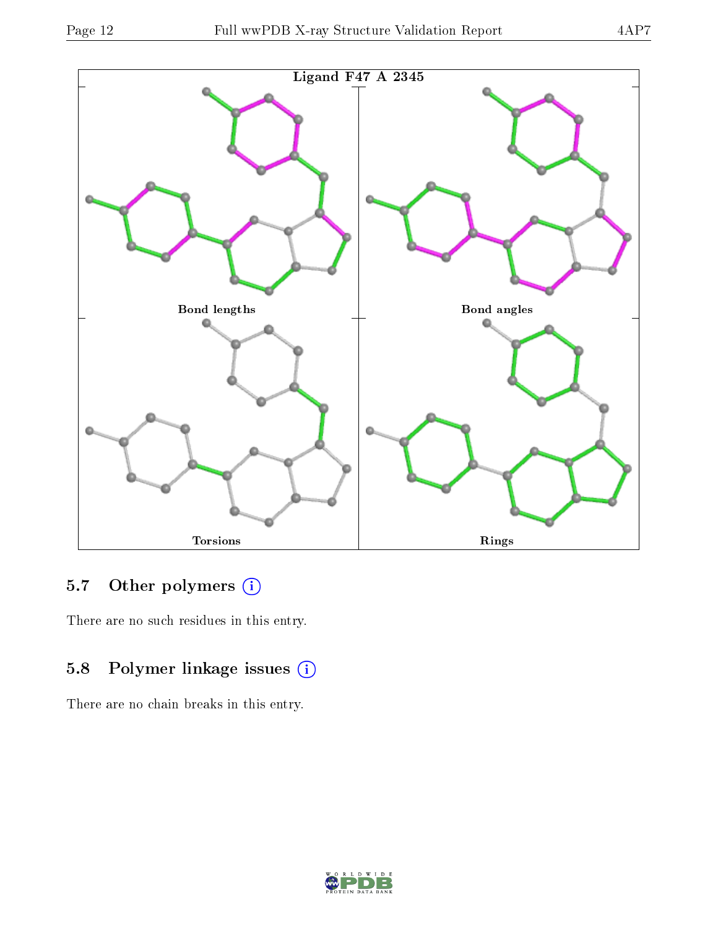

### 5.7 [O](https://www.wwpdb.org/validation/2017/XrayValidationReportHelp#nonstandard_residues_and_ligands)ther polymers (i)

There are no such residues in this entry.

### 5.8 Polymer linkage issues (i)

There are no chain breaks in this entry.

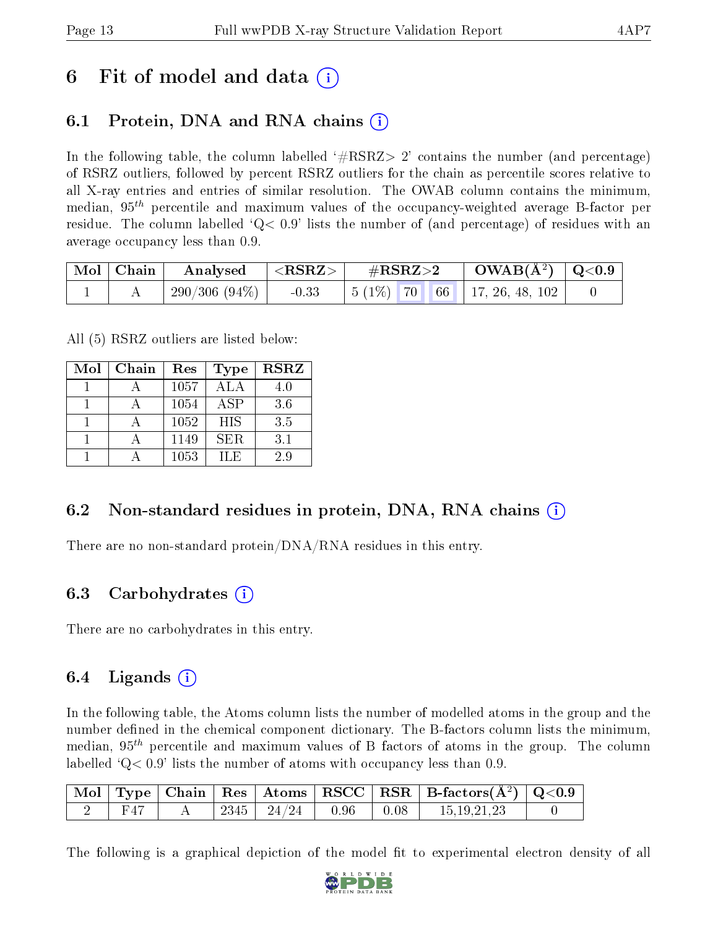## 6 Fit of model and data  $\left( \cdot \right)$

## 6.1 Protein, DNA and RNA chains (i)

In the following table, the column labelled  $#RSRZ>2'$  contains the number (and percentage) of RSRZ outliers, followed by percent RSRZ outliers for the chain as percentile scores relative to all X-ray entries and entries of similar resolution. The OWAB column contains the minimum, median,  $95<sup>th</sup>$  percentile and maximum values of the occupancy-weighted average B-factor per residue. The column labelled  $Q < 0.9$  lists the number of (and percentage) of residues with an average occupancy less than 0.9.

| Mol   Chain | $\mid$ Analysed $\mid$ <rsrz> <math>\mid</math></rsrz> |         | $\rm \#RSRZ{>}2$ |  | $\rm OWAB(\AA^2)$   Q<0.9            |  |
|-------------|--------------------------------------------------------|---------|------------------|--|--------------------------------------|--|
|             | $\frac{1}{290}/306(94\%)$                              | $-0.33$ |                  |  | $\vert 5(1\%)$ 70 66 17, 26, 48, 102 |  |

All (5) RSRZ outliers are listed below:

| Mol | Chain | Res  | <b>Type</b> | <b>RSRZ</b> |  |
|-----|-------|------|-------------|-------------|--|
|     |       | 1057 | <b>ALA</b>  | 4.0         |  |
|     |       | 1054 | ASP         | 3.6         |  |
|     |       | 1052 | <b>HIS</b>  | 3.5         |  |
|     |       | 1149 | <b>SER</b>  | 3.1         |  |
|     |       | 1053 | H.E         | 29          |  |

#### 6.2 Non-standard residues in protein, DNA, RNA chains (i)

There are no non-standard protein/DNA/RNA residues in this entry.

#### 6.3 Carbohydrates (i)

There are no carbohydrates in this entry.

#### 6.4 Ligands  $(i)$

In the following table, the Atoms column lists the number of modelled atoms in the group and the number defined in the chemical component dictionary. The B-factors column lists the minimum, median,  $95<sup>th</sup>$  percentile and maximum values of B factors of atoms in the group. The column labelled  $Q< 0.9$ ' lists the number of atoms with occupancy less than 0.9.

|  |  |                         |              | $^\top \text{Mol} \mid \text{Type} \mid \text{Chain} \mid \text{Res} \mid \text{Atoms} \mid \text{RSCC} \mid \text{RSR} \mid \text{B-factors}(\text{\AA}^2) \mid \text{Q<0.9} \mid \text{Mol} \mid \text{Time} \mid \text{Res} \mid \text{A} \mid \text{RSCC} \mid \text{RSR} \mid \text{B-factors}(\text{\AA}^2) \mid \text{Q<0.9} \mid \text{Mol} \mid \text{The image of the image is a 1D.}$ |  |
|--|--|-------------------------|--------------|--------------------------------------------------------------------------------------------------------------------------------------------------------------------------------------------------------------------------------------------------------------------------------------------------------------------------------------------------------------------------------------------------|--|
|  |  | $2345$   $24/24$   0.96 | $\vert$ 0.08 | 15, 19, 21, 23                                                                                                                                                                                                                                                                                                                                                                                   |  |

The following is a graphical depiction of the model fit to experimental electron density of all